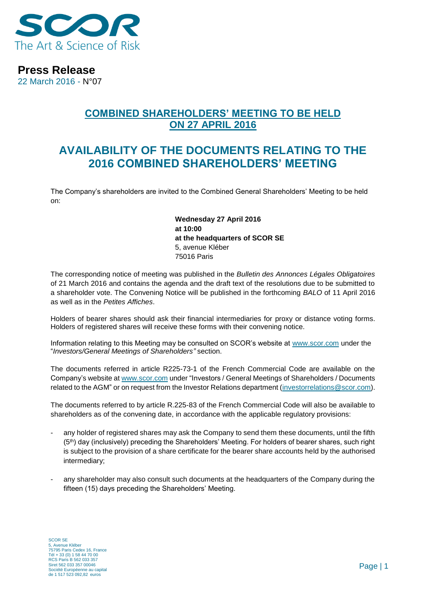

**Press Release**

22 March 2016 - N°07

## **COMBINED SHAREHOLDERS' MEETING TO BE HELD ON 27 APRIL 2016**

# **AVAILABILITY OF THE DOCUMENTS RELATING TO THE 2016 COMBINED SHAREHOLDERS' MEETING**

The Company's shareholders are invited to the Combined General Shareholders' Meeting to be held on:

> **Wednesday 27 April 2016 at 10:00 at the headquarters of SCOR SE** 5, avenue Kléber 75016 Paris

The corresponding notice of meeting was published in the *Bulletin des Annonces Légales Obligatoires*  of 21 March 2016 and contains the agenda and the draft text of the resolutions due to be submitted to a shareholder vote. The Convening Notice will be published in the forthcoming *BALO* of 11 April 2016 as well as in the *Petites Affiches*.

Holders of bearer shares should ask their financial intermediaries for proxy or distance voting forms. Holders of registered shares will receive these forms with their convening notice.

Information relating to this Meeting may be consulted on SCOR's website at www.scor.com under the "*Investors/General Meetings of Shareholders"* section.

The documents referred in article R225-73-1 of the French Commercial Code are available on the Company's website at [www.scor.com](http://www.scor.com/) under "Investors / General Meetings of Shareholders / Documents related to the AGM" or on request from the Investor Relations department [\(investorrelations@scor.com\)](mailto:Investorrelations@scor.com).

The documents referred to by article R.225-83 of the French Commercial Code will also be available to shareholders as of the convening date, in accordance with the applicable regulatory provisions:

- any holder of registered shares may ask the Company to send them these documents, until the fifth (5th) day (inclusively) preceding the Shareholders' Meeting. For holders of bearer shares, such right is subject to the provision of a share certificate for the bearer share accounts held by the authorised intermediary;
- any shareholder may also consult such documents at the headquarters of the Company during the fifteen (15) days preceding the Shareholders' Meeting.

SCOR SE 5, Avenue Kléber 75795 Paris Cedex 16, France Tél + 33 (0) 1 58 44 70 00 RCS Paris B 562 033 357 Siret 562 033 357 00046 Société Européenne au capital de 1 517 523 092,82 euros